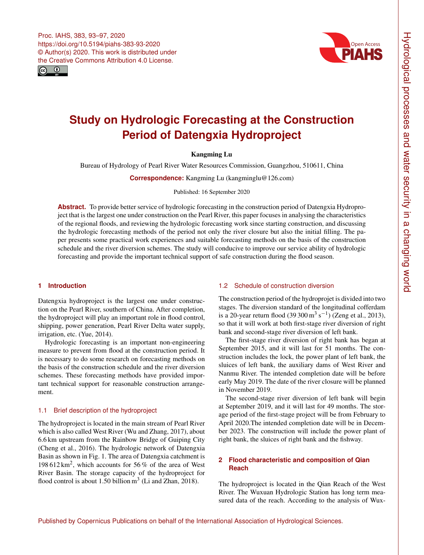



# **Study on Hydrologic Forecasting at the Construction Period of Datengxia Hydroproject**

# Kangming Lu

Bureau of Hydrology of Pearl River Water Resources Commission, Guangzhou, 510611, China

**Correspondence:** Kangming Lu (kangminglu@126.com)

#### Published: 16 September 2020

**Abstract.** To provide better service of hydrologic forecasting in the construction period of Datengxia Hydroproject that is the largest one under construction on the Pearl River, this paper focuses in analysing the characteristics of the regional floods, and reviewing the hydrologic forecasting work since starting construction, and discussing the hydrologic forecasting methods of the period not only the river closure but also the initial filling. The paper presents some practical work experiences and suitable forecasting methods on the basis of the construction schedule and the river diversion schemes. The study will conducive to improve our service ability of hydrologic forecasting and provide the important technical support of safe construction during the flood season.

## **1 Introduction**

Datengxia hydroproject is the largest one under construction on the Pearl River, southern of China. After completion, the hydroproject will play an important role in flood control, shipping, power generation, Pearl River Delta water supply, irrigation, etc. (Yue, 2014).

Hydrologic forecasting is an important non-engineering measure to prevent from flood at the construction period. It is necessary to do some research on forecasting methods on the basis of the construction schedule and the river diversion schemes. These forecasting methods have provided important technical support for reasonable construction arrangement.

## 1.1 Brief description of the hydroproject

The hydroproject is located in the main stream of Pearl River which is also called West River (Wu and Zhang, 2017), about 6.6 km upstream from the Rainbow Bridge of Guiping City (Cheng et al., 2016). The hydrologic network of Datengxia Basin as shown in Fig. 1. The area of Datengxia catchment is 198 612 km<sup>2</sup> , which accounts for 56 % of the area of West River Basin. The storage capacity of the hydroproject for flood control is about 1.50 billion  $m<sup>3</sup>$  (Li and Zhan, 2018).

### 1.2 Schedule of construction diversion

The construction period of the hydroprojet is divided into two stages. The diversion standard of the longitudinal cofferdam is a 20-year return flood  $(39\,300\,\text{m}^3\,\text{s}^{-1})$  (Zeng et al., 2013), so that it will work at both first-stage river diversion of right bank and second-stage river diversion of left bank.

The first-stage river diversion of right bank has began at September 2015, and it will last for 51 months. The construction includes the lock, the power plant of left bank, the sluices of left bank, the auxiliary dams of West River and Nanmu River. The intended completion date will be before early May 2019. The date of the river closure will be planned in November 2019.

The second-stage river diversion of left bank will begin at September 2019, and it will last for 49 months. The storage period of the first-stage project will be from February to April 2020.The intended completion date will be in December 2023. The construction will include the power plant of right bank, the sluices of right bank and the fishway.

# **2 Flood characteristic and composition of Qian Reach**

The hydroproject is located in the Qian Reach of the West River. The Wuxuan Hydrologic Station has long term measured data of the reach. According to the analysis of Wux-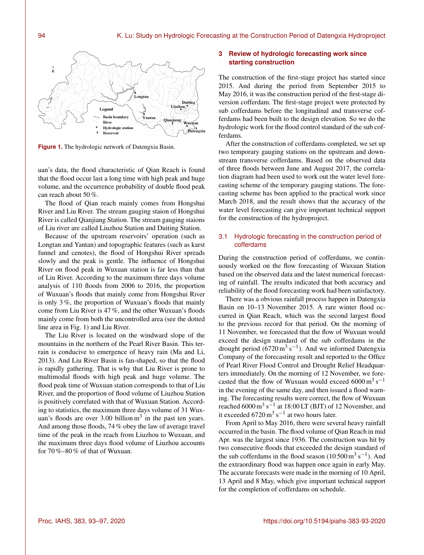

**Figure 1.** The hydrologic network of Datengxia Basin.

uan's data, the flood characteristic of Qian Reach is found that the flood occur last a long time with high peak and huge volume, and the occurrence probability of double flood peak can reach about 50 %.

The flood of Qian reach mainly comes from Hongshui River and Liu River. The stream gauging staion of Hongshui River is called Qianjiang Station. The stream gauging staions of Liu river are called Liuzhou Station and Duiting Station.

Because of the upstream reservoirs' operation (such as Longtan and Yantan) and topographic features (such as karst funnel and cenotes), the flood of Hongshui River spreads slowly and the peak is gentle. The influence of Hongshui River on flood peak in Wuxuan station is far less than that of Liu River. According to the maximum three days volume analysis of 110 floods from 2006 to 2016, the proportion of Wuxuan's floods that mainly come from Hongshui River is only 3 %, the proportion of Wuxuan's floods that mainly come from Liu River is 47 %, and the other Wuxuan's floods mainly come from both the uncontrolled area (see the dotted line area in Fig. 1) and Liu River.

The Liu River is located on the windward slope of the mountains in the northern of the Pearl River Basin. This terrain is conducive to emergence of heavy rain (Ma and Li, 2013). And Liu River Basin is fan-shaped, so that the flood is rapidly gathering. That is why that Liu River is prone to multimodal floods with high peak and huge volume. The flood peak time of Wuxuan station corresponds to that of Liu River, and the proportion of flood volume of Liuzhou Station is positively correlated with that of Wuxuan Station. According to statistics, the maximum three days volume of 31 Wuxuan's floods are over  $3.00$  billion  $m<sup>3</sup>$  in the past ten years. And among those floods, 74 % obey the law of average travel time of the peak in the reach from Liuzhou to Wuxuan, and the maximum three days flood volume of Liuzhou accounts for 70 %–80 % of that of Wuxuan.

# **3 Review of hydrologic forecasting work since starting construction**

The construction of the first-stage project has started since 2015. And during the period from September 2015 to May 2016, it was the construction period of the first-stage diversion cofferdam. The first-stage project were protected by sub cofferdams before the longitudinal and transverse cofferdams had been built to the design elevation. So we do the hydrologic work for the flood control standard of the sub cofferdams.

After the construction of cofferdams completed, we set up two temporary gauging stations on the upstream and downstream transverse cofferdams. Based on the observed data of three floods between June and August 2017, the correlation diagram had been used to work out the water level forecasting scheme of the temporary gauging stations. The forecasting scheme has been applied to the practical work since March 2018, and the result shows that the accuracy of the water level forecasting can give important technical support for the construction of the hydroproject.

# 3.1 Hydrologic forecasting in the construction period of cofferdams

During the construction period of cofferdams, we continuously worked on the flow forecasting of Wuxuan Station based on the observed data and the latest numerical forecasting of rainfall. The results indicated that both accuracy and reliability of the flood forecasting work had been satisfactory.

There was a obvious rainfall process happen in Datengxia Basin on 10–13 November 2015. A rare winter flood occurred in Qian Reach, which was the second largest flood to the previous record for that period. On the morning of 11 November, we forecasted that the flow of Wuxuan would exceed the design standard of the sub cofferdams in the drought period  $(6720 \text{ m}^3 \text{ s}^{-1})$ . And we informed Datengxia Company of the forecasting result and reported to the Office of Pearl River Flood Control and Drought Relief Headquarters immediately. On the morning of 12 November, we forecasted that the flow of Wuxuan would exceed  $6000 \text{ m}^3 \text{ s}^{-1}$ in the evening of the same day, and then issued a flood warning. The forecasting results were correct, the flow of Wuxuan reached  $6000 \text{ m}^3 \text{ s}^{-1}$  at 18:00 LT (BJT) of 12 November, and it exceeded  $6720 \,\mathrm{m}^3 \,\mathrm{s}^{-1}$  at two hours later.

From April to May 2016, there were several heavy rainfall occurred in the basin. The flood volume of Qian Reach in mid Apr. was the largest since 1936. The construction was hit by two consecutive floods that exceeded the design standard of the sub cofferdams in the flood season  $(10500 \text{ m}^3 \text{ s}^{-1})$ . And the extraordinary flood was happen once again in early May. The accurate forecasts were made in the morning of 10 April, 13 April and 8 May, which give important technical support for the completion of cofferdams on schedule.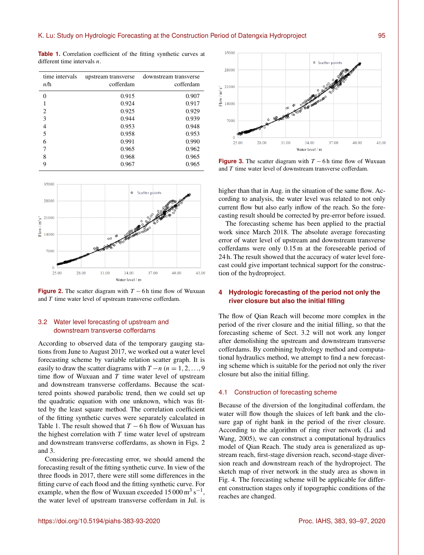| time intervals<br>n/h | upstream transverse<br>cofferdam | downstream transverse<br>cofferdam |
|-----------------------|----------------------------------|------------------------------------|
| $\theta$              | 0.915                            | 0.907                              |
|                       | 0.924                            | 0.917                              |
| 2                     | 0.925                            | 0.929                              |
| 3                     | 0.944                            | 0.939                              |
| 4                     | 0.953                            | 0.948                              |
| 5                     | 0.958                            | 0.953                              |
| 6                     | 0.991                            | 0.990                              |
| 7                     | 0.965                            | 0.962                              |
| 8                     | 0.968                            | 0.965                              |
| 9                     | 0.967                            | 0.965                              |

**Table 1.** Correlation coefficient of the fitting synthetic curves at different time intervals n.



**Figure 2.** The scatter diagram with  $T - 6$  h time flow of Wuxuan and T time water level of upstream transverse cofferdam.

## 3.2 Water level forecasting of upstream and downstream transverse cofferdams

According to observed data of the temporary gauging stations from June to August 2017, we worked out a water level forecasting scheme by variable relation scatter graph. It is easily to draw the scatter diagrams with  $T - n$  ( $n = 1, 2, \ldots, 9$ ) time flow of Wuxuan and  $T$  time water level of upstream and downstream transverse cofferdams. Because the scattered points showed parabolic trend, then we could set up the quadratic equation with one unknown, which was fitted by the least square method. The correlation coefficient of the fitting synthetic curves were separately calculated in Table 1. The result showed that  $T - 6$  h flow of Wuxuan has the highest correlation with  $T$  time water level of upstream and downstream transverse cofferdams, as shown in Figs. 2 and 3.

Considering pre-forecasting error, we should amend the forecasting result of the fitting synthetic curve. In view of the three floods in 2017, there were still some differences in the fitting curve of each flood and the fitting synthetic curve. For example, when the flow of Wuxuan exceeded  $15000 \,\mathrm{m^3\,s^{-1}}$ , the water level of upstream transverse cofferdam in Jul. is



**Figure 3.** The scatter diagram with  $T - 6$  h time flow of Wuxuan and T time water level of downstream transverse cofferdam.

higher than that in Aug. in the situation of the same flow. According to analysis, the water level was related to not only current flow but also early inflow of the reach. So the forecasting result should be corrected by pre-error before issued.

The forecasting scheme has been applied to the practial work since March 2018. The absolute average forecasting error of water level of upstream and downstream transverse cofferdams were only 0.15 m at the foreseeable period of 24 h. The result showed that the accuracy of water level forecast could give important technical support for the construction of the hydroproject.

## **4 Hydrologic forecasting of the period not only the river closure but also the initial filling**

The flow of Qian Reach will become more complex in the period of the river closure and the initial filling, so that the forecasting scheme of Sect. 3.2 will not work any longer after demolishing the upstream and downstream transverse cofferdams. By combining hydrology method and computational hydraulics method, we attempt to find a new forecasting scheme which is suitable for the period not only the river closure but also the initial filling.

#### 4.1 Construction of forecasting scheme

Because of the diversion of the longitudinal cofferdam, the water will flow though the sluices of left bank and the closure gap of right bank in the period of the river closure. According to the algorithm of ring river network (Li and Wang, 2005), we can construct a computational hydraulics model of Qian Reach. The study area is generalized as upstream reach, first-stage diversion reach, second-stage diversion reach and downstream reach of the hydroproject. The sketch map of river network in the study area as shown in Fig. 4. The forecasting scheme will be applicable for different construction stages only if topographic conditions of the reaches are changed.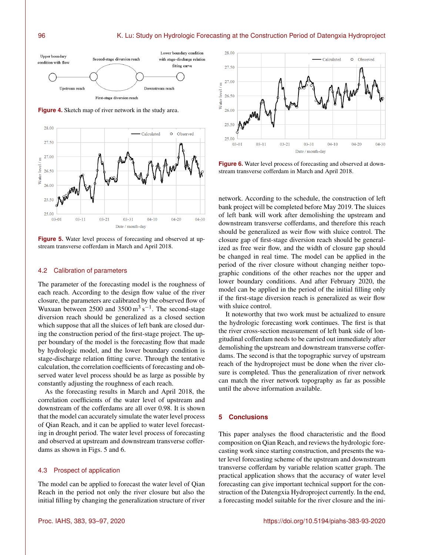

**Figure 4.** Sketch map of river network in the study area.



**Figure 5.** Water level process of forecasting and observed at upstream transverse cofferdam in March and April 2018.

#### 4.2 Calibration of parameters

The parameter of the forecasting model is the roughness of each reach. According to the design flow value of the river closure, the parameters are calibrated by the observed flow of Wuxuan between  $2500$  and  $3500 \,\mathrm{m^3\,s^{-1}}$ . The second-stage diversion reach should be generalized as a closed section which suppose that all the sluices of left bank are closed during the construction period of the first-stage project. The upper boundary of the model is the forecasting flow that made by hydrologic model, and the lower boundary condition is stage-discharge relation fitting curve. Through the tentative calculation, the correlation coefficients of forecasting and observed water level process should be as large as possible by constantly adjusting the roughness of each reach.

As the forecasting results in March and April 2018, the correlation coefficients of the water level of upstream and downstream of the cofferdams are all over 0.98. It is shown that the model can accurately simulate the water level process of Qian Reach, and it can be applied to water level forecasting in drought period. The water level process of forecasting and observed at upstream and downstream transverse cofferdams as shown in Figs. 5 and 6.

### 4.3 Prospect of application

The model can be applied to forecast the water level of Qian Reach in the period not only the river closure but also the initial filling by changing the generalization structure of river



**Figure 6.** Water level process of forecasting and observed at downstream transverse cofferdam in March and April 2018.

network. According to the schedule, the construction of left bank project will be completed before May 2019. The sluices of left bank will work after demolishing the upstream and downstream transverse cofferdams, and therefore this reach should be generalized as weir flow with sluice control. The closure gap of first-stage diversion reach should be generalized as free weir flow, and the width of closure gap should be changed in real time. The model can be applied in the period of the river closure without changing neither topographic conditions of the other reaches nor the upper and lower boundary conditions. And after February 2020, the model can be applied in the period of the initial filling only if the first-stage diversion reach is generalized as weir flow with sluice control.

It noteworthy that two work must be actualized to ensure the hydrologic forecasting work continues. The first is that the river cross-section measurement of left bank side of longitudinal cofferdam needs to be carried out immediately after demolishing the upstream and downstream transverse cofferdams. The second is that the topographic survey of upstream reach of the hydroproject must be done when the river closure is completed. Thus the generalization of river network can match the river network topography as far as possible until the above information available.

#### **5 Conclusions**

This paper analyses the flood characteristic and the flood composition on Qian Reach, and reviews the hydrologic forecasting work since starting construction, and presents the water level forecasting scheme of the upstream and downstream transverse cofferdam by variable relation scatter graph. The practical application shows that the accuracy of water level forecasting can give important technical support for the construction of the Datengxia Hydroproject currently. In the end, a forecasting model suitable for the river closure and the ini-